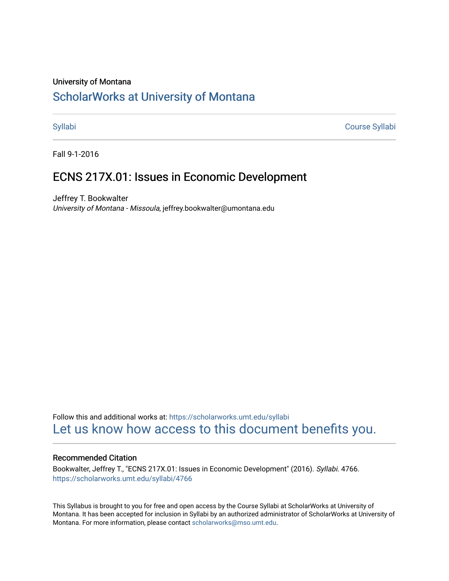## University of Montana

# [ScholarWorks at University of Montana](https://scholarworks.umt.edu/)

[Syllabi](https://scholarworks.umt.edu/syllabi) [Course Syllabi](https://scholarworks.umt.edu/course_syllabi) 

Fall 9-1-2016

## ECNS 217X.01: Issues in Economic Development

Jeffrey T. Bookwalter University of Montana - Missoula, jeffrey.bookwalter@umontana.edu

Follow this and additional works at: [https://scholarworks.umt.edu/syllabi](https://scholarworks.umt.edu/syllabi?utm_source=scholarworks.umt.edu%2Fsyllabi%2F4766&utm_medium=PDF&utm_campaign=PDFCoverPages)  [Let us know how access to this document benefits you.](https://goo.gl/forms/s2rGfXOLzz71qgsB2) 

## Recommended Citation

Bookwalter, Jeffrey T., "ECNS 217X.01: Issues in Economic Development" (2016). Syllabi. 4766. [https://scholarworks.umt.edu/syllabi/4766](https://scholarworks.umt.edu/syllabi/4766?utm_source=scholarworks.umt.edu%2Fsyllabi%2F4766&utm_medium=PDF&utm_campaign=PDFCoverPages)

This Syllabus is brought to you for free and open access by the Course Syllabi at ScholarWorks at University of Montana. It has been accepted for inclusion in Syllabi by an authorized administrator of ScholarWorks at University of Montana. For more information, please contact [scholarworks@mso.umt.edu.](mailto:scholarworks@mso.umt.edu)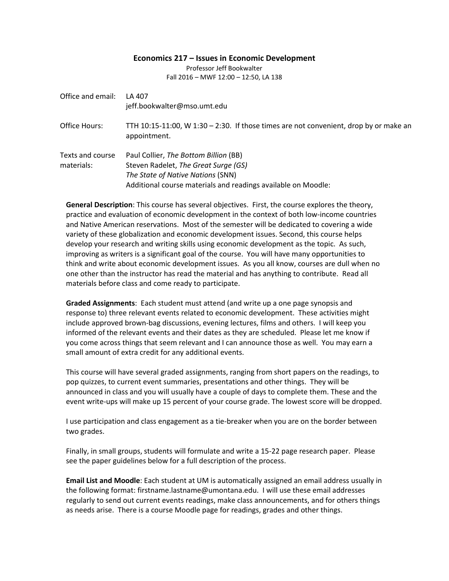#### **Economics 217 – Issues in Economic Development**

Professor Jeff Bookwalter Fall 2016 – MWF 12:00 – 12:50, LA 138

| Office and email:              | LA 407<br>jeff.bookwalter@mso.umt.edu                                                                                                                                               |
|--------------------------------|-------------------------------------------------------------------------------------------------------------------------------------------------------------------------------------|
| Office Hours:                  | TTH $10:15-11:00$ , W $1:30-2:30$ . If those times are not convenient, drop by or make an<br>appointment.                                                                           |
| Texts and course<br>materials: | Paul Collier, The Bottom Billion (BB)<br>Steven Radelet, The Great Surge (GS)<br>The State of Native Nations (SNN)<br>Additional course materials and readings available on Moodle: |

**General Description**: This course has several objectives. First, the course explores the theory, practice and evaluation of economic development in the context of both low-income countries and Native American reservations. Most of the semester will be dedicated to covering a wide variety of these globalization and economic development issues. Second, this course helps develop your research and writing skills using economic development as the topic. As such, improving as writers is a significant goal of the course. You will have many opportunities to think and write about economic development issues. As you all know, courses are dull when no one other than the instructor has read the material and has anything to contribute. Read all materials before class and come ready to participate.

**Graded Assignments**: Each student must attend (and write up a one page synopsis and response to) three relevant events related to economic development. These activities might include approved brown-bag discussions, evening lectures, films and others. I will keep you informed of the relevant events and their dates as they are scheduled. Please let me know if you come across things that seem relevant and I can announce those as well. You may earn a small amount of extra credit for any additional events.

This course will have several graded assignments, ranging from short papers on the readings, to pop quizzes, to current event summaries, presentations and other things. They will be announced in class and you will usually have a couple of days to complete them. These and the event write-ups will make up 15 percent of your course grade. The lowest score will be dropped.

I use participation and class engagement as a tie-breaker when you are on the border between two grades.

Finally, in small groups, students will formulate and write a 15-22 page research paper. Please see the paper guidelines below for a full description of the process.

**Email List and Moodle**: Each student at UM is automatically assigned an email address usually in the following format: firstname.lastname@umontana.edu. I will use these email addresses regularly to send out current events readings, make class announcements, and for others things as needs arise. There is a course Moodle page for readings, grades and other things.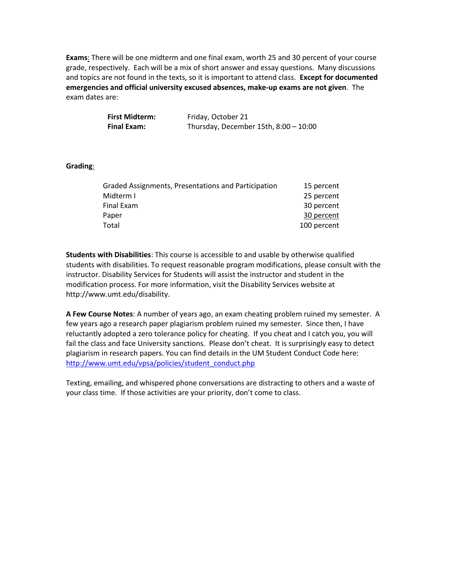**Exams**: There will be one midterm and one final exam, worth 25 and 30 percent of your course grade, respectively. Each will be a mix of short answer and essay questions. Many discussions and topics are not found in the texts, so it is important to attend class. **Except for documented emergencies and official university excused absences, make-up exams are not given**. The exam dates are:

| <b>First Midterm:</b> | Friday, October 21                      |
|-----------------------|-----------------------------------------|
| <b>Final Exam:</b>    | Thursday, December 15th, $8:00 - 10:00$ |

### **Grading**:

| Graded Assignments, Presentations and Participation | 15 percent  |
|-----------------------------------------------------|-------------|
| Midterm I                                           | 25 percent  |
| Final Exam                                          | 30 percent  |
| Paper                                               | 30 percent  |
| Total                                               | 100 percent |
|                                                     |             |

**Students with Disabilities**: This course is accessible to and usable by otherwise qualified students with disabilities. To request reasonable program modifications, please consult with the instructor. Disability Services for Students will assist the instructor and student in the modification process. For more information, visit the Disability Services website at http://www.umt.edu/disability.

**A Few Course Notes**: A number of years ago, an exam cheating problem ruined my semester. A few years ago a research paper plagiarism problem ruined my semester. Since then, I have reluctantly adopted a zero tolerance policy for cheating. If you cheat and I catch you, you will fail the class and face University sanctions. Please don't cheat. It is surprisingly easy to detect plagiarism in research papers. You can find details in the UM Student Conduct Code here: http://www.umt.edu/vpsa/policies/student\_conduct.php

Texting, emailing, and whispered phone conversations are distracting to others and a waste of your class time. If those activities are your priority, don't come to class.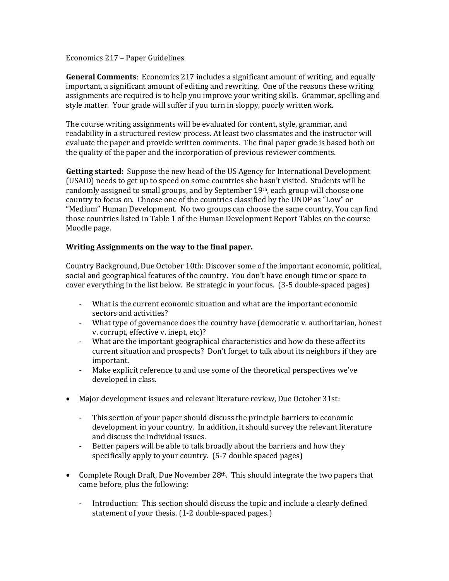## Economics 217 – Paper Guidelines

**General Comments**: Economics 217 includes a significant amount of writing, and equally important, a significant amount of editing and rewriting. One of the reasons these writing assignments are required is to help you improve your writing skills. Grammar, spelling and style matter. Your grade will suffer if you turn in sloppy, poorly written work.

The course writing assignments will be evaluated for content, style, grammar, and readability in a structured review process. At least two classmates and the instructor will evaluate the paper and provide written comments. The final paper grade is based both on the quality of the paper and the incorporation of previous reviewer comments.

**Getting started:** Suppose the new head of the US Agency for International Development (USAID) needs to get up to speed on some countries she hasn't visited. Students will be randomly assigned to small groups, and by September 19<sup>th</sup>, each group will choose one country to focus on. Choose one of the countries classified by the UNDP as "Low" or "Medium" Human Development. No two groups can choose the same country. You can find those countries listed in Table 1 of the Human Development Report Tables on the course Moodle page.

## **Writing Assignments on the way to the final paper.**

Country Background, Due October 10th: Discover some of the important economic, political, social and geographical features of the country. You don't have enough time or space to cover everything in the list below. Be strategic in your focus. (3-5 double-spaced pages)

- What is the current economic situation and what are the important economic sectors and activities?
- What type of governance does the country have (democratic v. authoritarian, honest v. corrupt, effective v. inept, etc)?
- What are the important geographical characteristics and how do these affect its current situation and prospects? Don't forget to talk about its neighbors if they are important.
- Make explicit reference to and use some of the theoretical perspectives we've developed in class.
- Major development issues and relevant literature review, Due October 31st:
	- This section of your paper should discuss the principle barriers to economic development in your country. In addition, it should survey the relevant literature and discuss the individual issues.
	- Better papers will be able to talk broadly about the barriers and how they specifically apply to your country. (5-7 double spaced pages)
- Complete Rough Draft, Due November  $28<sup>th</sup>$ . This should integrate the two papers that came before, plus the following:
	- Introduction: This section should discuss the topic and include a clearly defined statement of your thesis. (1-2 double-spaced pages.)